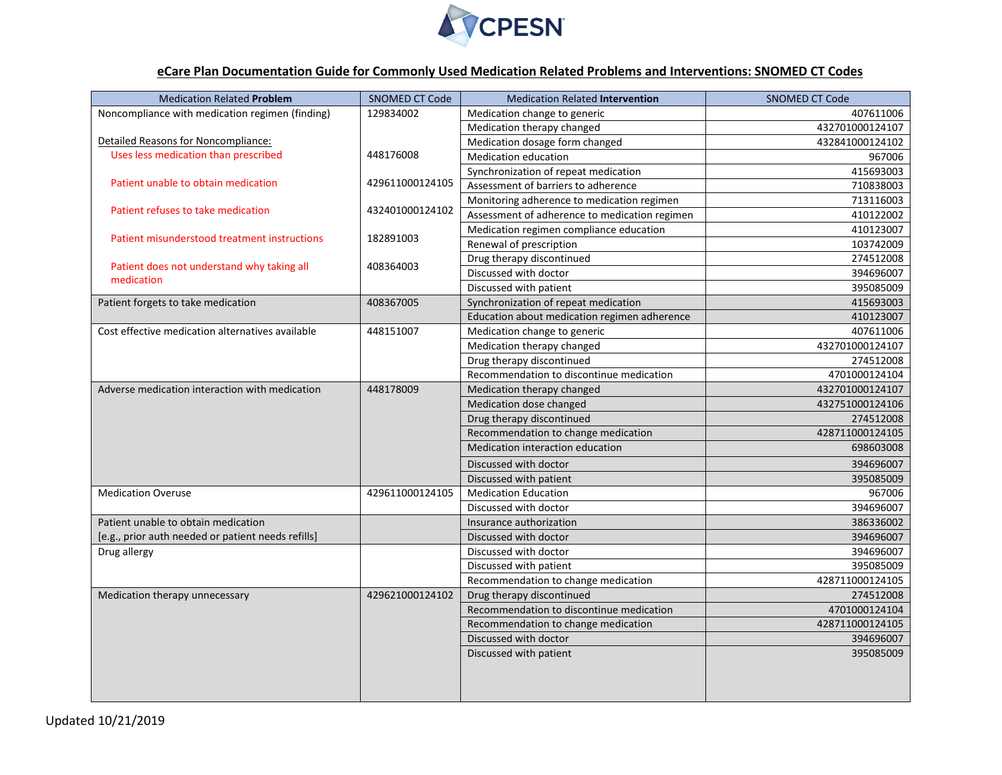

## **eCare Plan Documentation Guide for Commonly Used Medication Related Problems and Interventions: SNOMED CT Codes**

| <b>Medication Related Problem</b>                        | <b>SNOMED CT Code</b>        | <b>Medication Related Intervention</b>        | <b>SNOMED CT Code</b> |
|----------------------------------------------------------|------------------------------|-----------------------------------------------|-----------------------|
| Noncompliance with medication regimen (finding)          | 129834002                    | Medication change to generic                  | 407611006             |
|                                                          |                              | Medication therapy changed                    | 432701000124107       |
| Detailed Reasons for Noncompliance:                      | 448176008<br>429611000124105 | Medication dosage form changed                | 432841000124102       |
| Uses less medication than prescribed                     |                              | <b>Medication education</b>                   | 967006                |
|                                                          |                              | Synchronization of repeat medication          | 415693003             |
| Patient unable to obtain medication                      |                              | Assessment of barriers to adherence           | 710838003             |
| Patient refuses to take medication                       | 432401000124102              | Monitoring adherence to medication regimen    | 713116003             |
|                                                          |                              | Assessment of adherence to medication regimen | 410122002             |
| Patient misunderstood treatment instructions             | 182891003                    | Medication regimen compliance education       | 410123007             |
|                                                          |                              | Renewal of prescription                       | 103742009             |
|                                                          | 408364003                    | Drug therapy discontinued                     | 274512008             |
| Patient does not understand why taking all<br>medication |                              | Discussed with doctor                         | 394696007             |
|                                                          |                              | Discussed with patient                        | 395085009             |
| Patient forgets to take medication                       | 408367005                    | Synchronization of repeat medication          | 415693003             |
|                                                          |                              | Education about medication regimen adherence  | 410123007             |
| Cost effective medication alternatives available         | 448151007                    | Medication change to generic                  | 407611006             |
|                                                          |                              | Medication therapy changed                    | 432701000124107       |
|                                                          |                              | Drug therapy discontinued                     | 274512008             |
|                                                          |                              | Recommendation to discontinue medication      | 4701000124104         |
| Adverse medication interaction with medication           | 448178009                    | Medication therapy changed                    | 432701000124107       |
|                                                          |                              | Medication dose changed                       | 432751000124106       |
|                                                          |                              | Drug therapy discontinued                     | 274512008             |
|                                                          |                              | Recommendation to change medication           | 428711000124105       |
|                                                          |                              | Medication interaction education              | 698603008             |
|                                                          |                              | Discussed with doctor                         | 394696007             |
|                                                          |                              | Discussed with patient                        | 395085009             |
| <b>Medication Overuse</b>                                | 429611000124105              | <b>Medication Education</b>                   | 967006                |
|                                                          |                              | Discussed with doctor                         | 394696007             |
| Patient unable to obtain medication                      |                              | Insurance authorization                       | 386336002             |
| [e.g., prior auth needed or patient needs refills]       |                              | Discussed with doctor                         | 394696007             |
| Drug allergy                                             |                              | Discussed with doctor                         | 394696007             |
|                                                          |                              | Discussed with patient                        | 395085009             |
|                                                          |                              | Recommendation to change medication           | 428711000124105       |
| Medication therapy unnecessary                           | 429621000124102              | Drug therapy discontinued                     | 274512008             |
|                                                          |                              | Recommendation to discontinue medication      | 4701000124104         |
|                                                          |                              | Recommendation to change medication           | 428711000124105       |
|                                                          |                              | Discussed with doctor                         | 394696007             |
|                                                          |                              | Discussed with patient                        | 395085009             |
|                                                          |                              |                                               |                       |
|                                                          |                              |                                               |                       |
|                                                          |                              |                                               |                       |